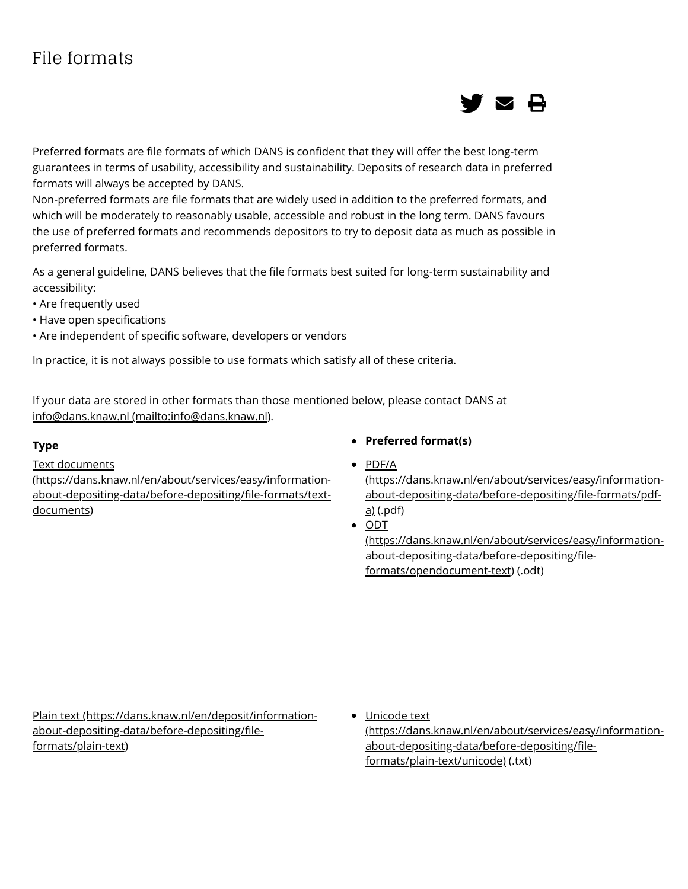# File formats



Preferred formats are file formats of which DANS is confident that they will offer the best long-term guarantees in terms of usability, accessibility and sustainability. Deposits of research data in preferred formats will always be accepted by DANS.

Non-preferred formats are file formats that are widely used in addition to the preferred formats, and which will be moderately to reasonably usable, accessible and robust in the long term. DANS favours the use of preferred formats and recommends depositors to try to deposit data as much as possible in preferred formats.

As a general guideline, DANS believes that the file formats best suited for long-term sustainability and accessibility:

- Are frequently used
- Have open specifications
- Are independent of specific software, developers or vendors

In practice, it is not always possible to use formats which satisfy all of these criteria.

If your data are stored in other formats than those mentioned below, please contact DANS at [info@dans.knaw.nl \(mailto:info@dans.knaw.nl\)](mailto:info@dans.knaw.nl).

Text documents

[\(https://dans.knaw.nl/en/about/services/easy/information](https://dans.knaw.nl/en/about/services/easy/information-about-depositing-data/before-depositing/file-formats/text-documents)about-depositing-data/before-depositing/file-formats/textdocuments)

- **Type Preferred format(s)**
	- PDF/A

[\(https://dans.knaw.nl/en/about/services/easy/information](https://dans.knaw.nl/en/about/services/easy/information-about-depositing-data/before-depositing/file-formats/pdf-a)about-depositing-data/before-depositing/file-formats/pdfa) (.pdf)

• ODT

[\(https://dans.knaw.nl/en/about/services/easy/information](https://dans.knaw.nl/en/about/services/easy/information-about-depositing-data/before-depositing/file-formats/opendocument-text)about-depositing-data/before-depositing/fileformats/opendocument-text) (.odt)

[Plain text \(https://dans.knaw.nl/en/deposit/information](https://dans.knaw.nl/en/deposit/information-about-depositing-data/before-depositing/file-formats/plain-text)about-depositing-data/before-depositing/fileformats/plain-text)

• Unicode text [\(https://dans.knaw.nl/en/about/services/easy/information](https://dans.knaw.nl/en/about/services/easy/information-about-depositing-data/before-depositing/file-formats/plain-text/unicode)about-depositing-data/before-depositing/fileformats/plain-text/unicode) (.txt)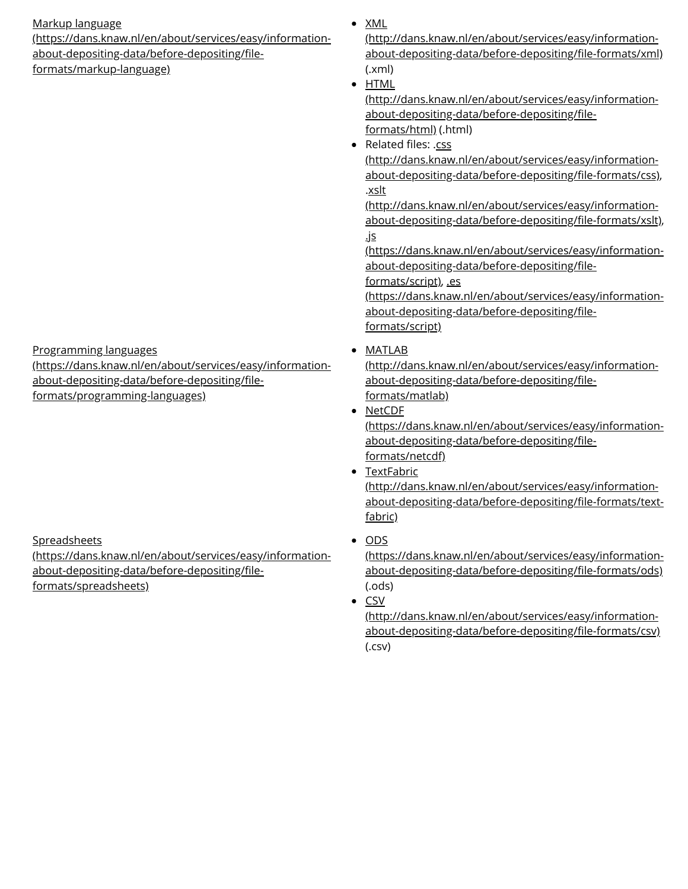# Markup language

[\(https://dans.knaw.nl/en/about/services/easy/information](https://dans.knaw.nl/en/about/services/easy/information-about-depositing-data/before-depositing/file-formats/markup-language)about-depositing-data/before-depositing/fileformats/markup-language)

(.xml) • **HTML** 

> [\(http://dans.knaw.nl/en/about/services/easy/information](http://dans.knaw.nl/en/about/services/easy/information-about-depositing-data/before-depositing/file-formats/html)about-depositing-data/before-depositing/fileformats/html) (.html)

(http://dans.knaw.nl/en/about/services/easy/informationabout-depositing-data/before-depositing/file-formats/xml)

Related files: .css

(http://dans.knaw.nl/en/about/services/easy/informationabout-depositing-data/before-depositing/file-formats/css), .xslt

(http://dans.knaw.nl/en/about/services/easy/informationabout-depositing-data/before-depositing/file-formats/xslt), .js

[\(https://dans.knaw.nl/en/about/services/easy/information](https://dans.knaw.nl/en/about/services/easy/information-about-depositing-data/before-depositing/file-formats/script)about-depositing-data/before-depositing/file-

formats/script), .es

[\(https://dans.knaw.nl/en/about/services/easy/information](https://dans.knaw.nl/en/about/services/easy/information-about-depositing-data/before-depositing/file-formats/script)about-depositing-data/before-depositing/fileformats/script)

MATLAB

[\(http://dans.knaw.nl/en/about/services/easy/information](http://dans.knaw.nl/en/about/services/easy/information-about-depositing-data/before-depositing/file-formats/matlab)about-depositing-data/before-depositing/fileformats/matlab)

• NetCDF

[\(https://dans.knaw.nl/en/about/services/easy/information](https://dans.knaw.nl/en/about/services/easy/information-about-depositing-data/before-depositing/file-formats/netcdf)about-depositing-data/before-depositing/fileformats/netcdf)

- TextFabric (http://dans.knaw.nl/en/about/services/easy/informationabout-depositing-data/before-depositing/file-formats/textfabric)
- $\bullet$  ODS

[\(https://dans.knaw.nl/en/about/services/easy/information](https://dans.knaw.nl/en/about/services/easy/information-about-depositing-data/before-depositing/file-formats/ods)about-depositing-data/before-depositing/file-formats/ods) (.ods)

• CSV

(http://dans.knaw.nl/en/about/services/easy/informationabout-depositing-data/before-depositing/file-formats/csv) (.csv)

Programming languages

[\(https://dans.knaw.nl/en/about/services/easy/information](https://dans.knaw.nl/en/about/services/easy/information-about-depositing-data/before-depositing/file-formats/programming-languages)about-depositing-data/before-depositing/fileformats/programming-languages)

**Spreadsheets** 

[\(https://dans.knaw.nl/en/about/services/easy/information](https://dans.knaw.nl/en/about/services/easy/information-about-depositing-data/before-depositing/file-formats/spreadsheets)about-depositing-data/before-depositing/fileformats/spreadsheets)

 $\bullet$  XML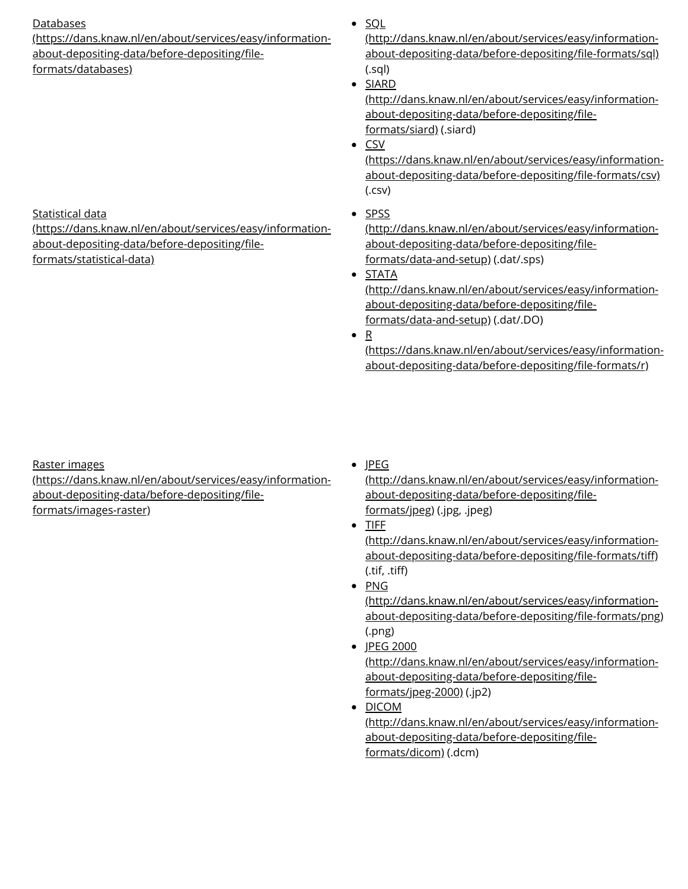# **Databases**

[\(https://dans.knaw.nl/en/about/services/easy/information](https://dans.knaw.nl/en/about/services/easy/information-about-depositing-data/before-depositing/file-formats/databases)about-depositing-data/before-depositing/fileformats/databases)

Statistical data

[\(https://dans.knaw.nl/en/about/services/easy/information](https://dans.knaw.nl/en/about/services/easy/information-about-depositing-data/before-depositing/file-formats/statistical-data)about-depositing-data/before-depositing/fileformats/statistical-data)

 $\cdot$  SQL

[\(http://dans.knaw.nl/en/about/services/easy/information](http://dans.knaw.nl/en/about/services/easy/information-about-depositing-data/before-depositing/file-formats/sql)about-depositing-data/before-depositing/file-formats/sql) (.sql)

• SIARD

[\(http://dans.knaw.nl/en/about/services/easy/information](http://dans.knaw.nl/en/about/services/easy/information-about-depositing-data/before-depositing/file-formats/siard)about-depositing-data/before-depositing/fileformats/siard) (.siard)

 $\bullet$  CSV

[\(https://dans.knaw.nl/en/about/services/easy/information](https://dans.knaw.nl/en/about/services/easy/information-about-depositing-data/before-depositing/file-formats/csv)about-depositing-data/before-depositing/file-formats/csv) (.csv)

 $\bullet$  SPSS

[\(http://dans.knaw.nl/en/about/services/easy/information](http://dans.knaw.nl/en/about/services/easy/information-about-depositing-data/before-depositing/file-formats/data-and-setup)about-depositing-data/before-depositing/fileformats/data-and-setup) (.dat/.sps)

• STATA

[\(http://dans.knaw.nl/en/about/services/easy/information](http://dans.knaw.nl/en/about/services/easy/information-about-depositing-data/before-depositing/file-formats/data-and-setup)about-depositing-data/before-depositing/fileformats/data-and-setup) (.dat/.DO)

 $\bullet$  R

[\(https://dans.knaw.nl/en/about/services/easy/information](https://dans.knaw.nl/en/about/services/easy/information-about-depositing-data/before-depositing/file-formats/r)about-depositing-data/before-depositing/file-formats/r)

Raster images

[\(https://dans.knaw.nl/en/about/services/easy/information](https://dans.knaw.nl/en/about/services/easy/information-about-depositing-data/before-depositing/file-formats/images-raster)about-depositing-data/before-depositing/fileformats/images-raster)

 $\bullet$  JPEG

[\(http://dans.knaw.nl/en/about/services/easy/information](http://dans.knaw.nl/en/about/services/easy/information-about-depositing-data/before-depositing/file-formats/jpeg)about-depositing-data/before-depositing/fileformats/jpeg) (.jpg, .jpeg)

 $\bullet$  TIFF

[\(http://dans.knaw.nl/en/about/services/easy/information](http://dans.knaw.nl/en/about/services/easy/information-about-depositing-data/before-depositing/file-formats/tiff)about-depositing-data/before-depositing/file-formats/tiff)  $(i, t)$ ,  $(i, t)$ 

• PNG

(http://dans.knaw.nl/en/about/services/easy/informationabout-depositing-data/before-depositing/file-formats/png) (.png)

- JPEG 2000 [\(http://dans.knaw.nl/en/about/services/easy/information](http://dans.knaw.nl/en/about/services/easy/information-about-depositing-data/before-depositing/file-formats/jpeg-2000)about-depositing-data/before-depositing/fileformats/jpeg-2000) (.jp2)
- DICOM [\(http://dans.knaw.nl/en/about/services/easy/information](http://dans.knaw.nl/en/about/services/easy/information-about-depositing-data/before-depositing/file-formats/dicom)about-depositing-data/before-depositing/fileformats/dicom) (.dcm)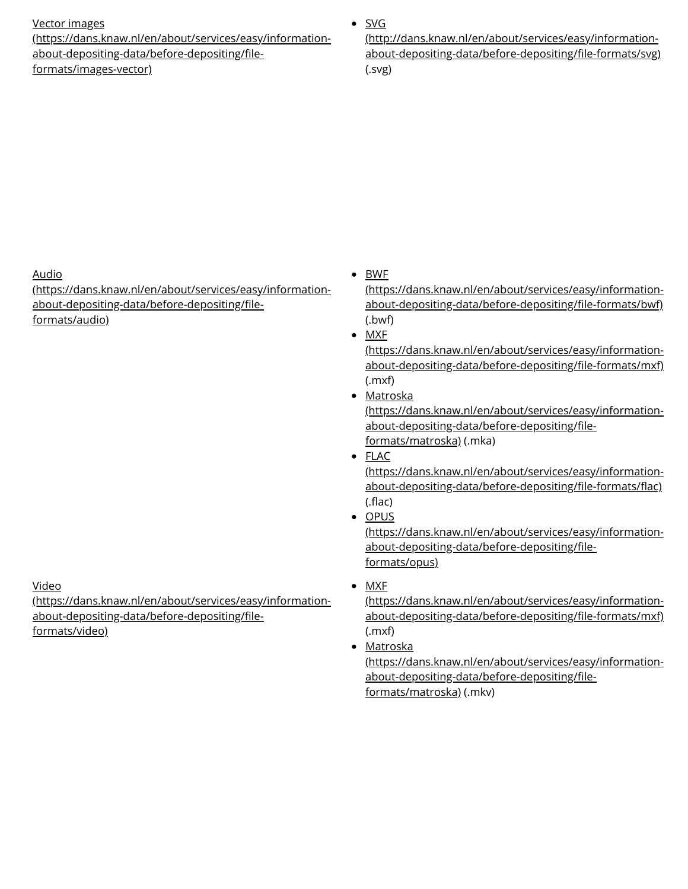#### Vector images

[\(https://dans.knaw.nl/en/about/services/easy/information](https://dans.knaw.nl/en/about/services/easy/information-about-depositing-data/before-depositing/file-formats/images-vector)about-depositing-data/before-depositing/fileformats/images-vector)

# $\bullet$  SVG

(http://dans.knaw.nl/en/about/services/easy/informationabout-depositing-data/before-depositing/file-formats/svg) (.svg)

Audio

[\(https://dans.knaw.nl/en/about/services/easy/information](https://dans.knaw.nl/en/about/services/easy/information-about-depositing-data/before-depositing/file-formats/audio)about-depositing-data/before-depositing/fileformats/audio)

Video

[\(https://dans.knaw.nl/en/about/services/easy/information](https://dans.knaw.nl/en/about/services/easy/information-about-depositing-data/before-depositing/file-formats/video)about-depositing-data/before-depositing/fileformats/video)

• BWF

[\(https://dans.knaw.nl/en/about/services/easy/information](https://dans.knaw.nl/en/about/services/easy/information-about-depositing-data/before-depositing/file-formats/bwf)about-depositing-data/before-depositing/file-formats/bwf) (.bwf)

 $\bullet$  MXF

[\(https://dans.knaw.nl/en/about/services/easy/information](https://dans.knaw.nl/en/about/services/easy/information-about-depositing-data/before-depositing/file-formats/mxf)about-depositing-data/before-depositing/file-formats/mxf) (.mxf)

• Matroska

[\(https://dans.knaw.nl/en/about/services/easy/information](https://dans.knaw.nl/en/about/services/easy/information-about-depositing-data/before-depositing/file-formats/matroska)about-depositing-data/before-depositing/fileformats/matroska) (.mka)

FLAC

[\(https://dans.knaw.nl/en/about/services/easy/information](https://dans.knaw.nl/en/about/services/easy/information-about-depositing-data/before-depositing/file-formats/flac)about-depositing-data/before-depositing/file-formats/flac)  $(flac)$ 

• OPUS

[\(https://dans.knaw.nl/en/about/services/easy/information](https://dans.knaw.nl/en/about/services/easy/information-about-depositing-data/before-depositing/file-formats/opus)about-depositing-data/before-depositing/fileformats/opus)

• MXF

[\(https://dans.knaw.nl/en/about/services/easy/information](https://dans.knaw.nl/en/about/services/easy/information-about-depositing-data/before-depositing/file-formats/mxf)about-depositing-data/before-depositing/file-formats/mxf) (.mxf)

• Matroska [\(https://dans.knaw.nl/en/about/services/easy/information](https://dans.knaw.nl/en/about/services/easy/information-about-depositing-data/before-depositing/file-formats/matroska)about-depositing-data/before-depositing/fileformats/matroska) (.mkv)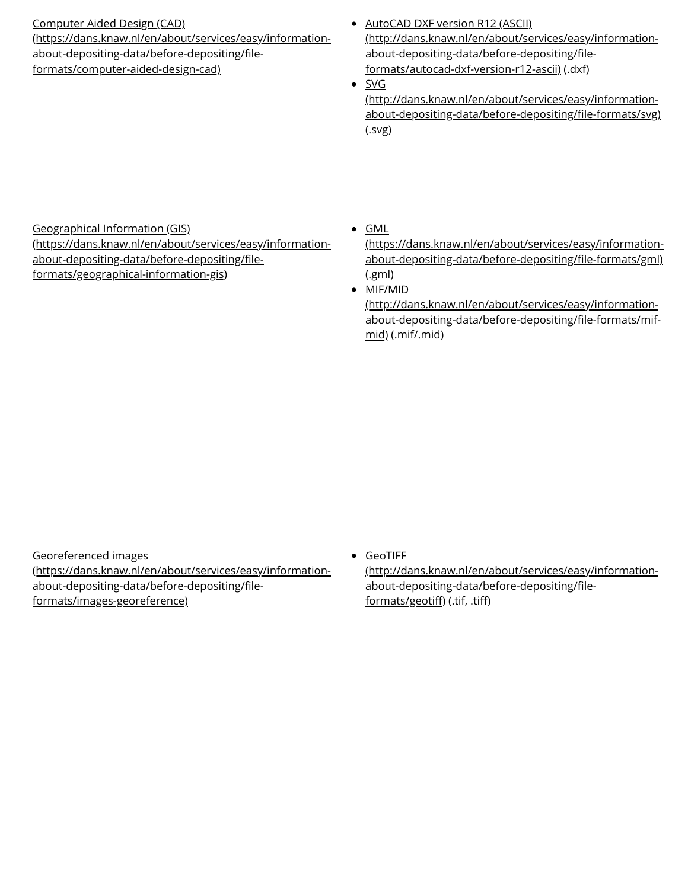# Computer Aided Design (CAD)

[\(https://dans.knaw.nl/en/about/services/easy/information](https://dans.knaw.nl/en/about/services/easy/information-about-depositing-data/before-depositing/file-formats/computer-aided-design-cad)about-depositing-data/before-depositing/fileformats/computer-aided-design-cad)

- AutoCAD DXF version R12 (ASCII) [\(http://dans.knaw.nl/en/about/services/easy/information](http://dans.knaw.nl/en/about/services/easy/information-about-depositing-data/before-depositing/file-formats/autocad-dxf-version-r12-ascii)about-depositing-data/before-depositing/fileformats/autocad-dxf-version-r12-ascii) (.dxf)
- $\bullet$  SVG

(http://dans.knaw.nl/en/about/services/easy/informationabout-depositing-data/before-depositing/file-formats/svg) (.svg)

# Geographical Information (GIS)

[\(https://dans.knaw.nl/en/about/services/easy/information](https://dans.knaw.nl/en/about/services/easy/information-about-depositing-data/before-depositing/file-formats/geographical-information-gis)about-depositing-data/before-depositing/fileformats/geographical-information-gis)

 $\bullet$  GML

[\(https://dans.knaw.nl/en/about/services/easy/information](https://dans.knaw.nl/en/about/services/easy/information-about-depositing-data/before-depositing/file-formats/gml)about-depositing-data/before-depositing/file-formats/gml) (.gml)

• MIF/MID

(http://dans.knaw.nl/en/about/services/easy/informationabout-depositing-data/before-depositing/file-formats/mifmid) (.mif/.mid)

Georeferenced images [\(https://dans.knaw.nl/en/about/services/easy/information](https://dans.knaw.nl/en/about/services/easy/information-about-depositing-data/before-depositing/file-formats/images-georeference)about-depositing-data/before-depositing/fileformats/images-georeference)

GeoTIFF

[\(http://dans.knaw.nl/en/about/services/easy/information](http://dans.knaw.nl/en/about/services/easy/information-about-depositing-data/before-depositing/file-formats/geotiff)about-depositing-data/before-depositing/fileformats/geotiff) (.tif, .tiff)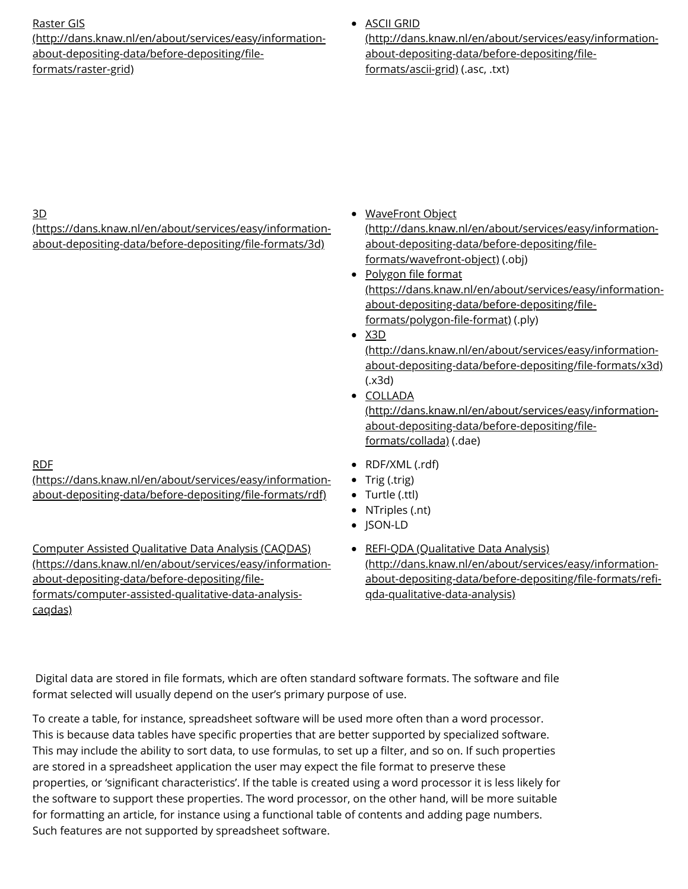### Raster GIS

[\(http://dans.knaw.nl/en/about/services/easy/information](http://dans.knaw.nl/en/about/services/easy/information-about-depositing-data/before-depositing/file-formats/raster-grid)about-depositing-data/before-depositing/fileformats/raster-grid)

ASCII GRID

[\(http://dans.knaw.nl/en/about/services/easy/information](http://dans.knaw.nl/en/about/services/easy/information-about-depositing-data/before-depositing/file-formats/ascii-grid)about-depositing-data/before-depositing/fileformats/ascii-grid) (.asc, .txt)

# 3D

[\(https://dans.knaw.nl/en/about/services/easy/information](https://dans.knaw.nl/en/about/services/easy/information-about-depositing-data/before-depositing/file-formats/3d)about-depositing-data/before-depositing/file-formats/3d)

#### RDF

[\(https://dans.knaw.nl/en/about/services/easy/information](https://dans.knaw.nl/en/about/services/easy/information-about-depositing-data/before-depositing/file-formats/rdf)about-depositing-data/before-depositing/file-formats/rdf)

Computer Assisted Qualitative Data Analysis (CAQDAS) [\(https://dans.knaw.nl/en/about/services/easy/information](https://dans.knaw.nl/en/about/services/easy/information-about-depositing-data/before-depositing/file-formats/computer-assisted-qualitative-data-analysis-caqdas)about-depositing-data/before-depositing/fileformats/computer-assisted-qualitative-data-analysiscaqdas)

- WaveFront Object [\(http://dans.knaw.nl/en/about/services/easy/information](http://dans.knaw.nl/en/about/services/easy/information-about-depositing-data/before-depositing/file-formats/wavefront-object)about-depositing-data/before-depositing/fileformats/wavefront-object) (.obj)
- Polygon file format [\(https://dans.knaw.nl/en/about/services/easy/information](https://dans.knaw.nl/en/about/services/easy/information-about-depositing-data/before-depositing/file-formats/polygon-file-format)about-depositing-data/before-depositing/fileformats/polygon-file-format) (.ply)
- $\bullet$  X3D

(http://dans.knaw.nl/en/about/services/easy/informationabout-depositing-data/before-depositing/file-formats/x3d) (.x3d)

- COLLADA [\(http://dans.knaw.nl/en/about/services/easy/information](http://dans.knaw.nl/en/about/services/easy/information-about-depositing-data/before-depositing/file-formats/collada)about-depositing-data/before-depositing/fileformats/collada) (.dae)
- RDF/XML (.rdf)
- Trig (.trig)
- Turtle (.ttl)
- NTriples (.nt)
- JSON-LD
- **REFI-QDA (Qualitative Data Analysis)** (http://dans.knaw.nl/en/about/services/easy/informationabout-depositing-data/before-depositing/file-formats/refiqda-qualitative-data-analysis)

Digital data are stored in file formats, which are often standard software formats. The software and file format selected will usually depend on the user's primary purpose of use.

To create a table, for instance, spreadsheet software will be used more often than a word processor. This is because data tables have specific properties that are better supported by specialized software. This may include the ability to sort data, to use formulas, to set up a filter, and so on. If such properties are stored in a spreadsheet application the user may expect the file format to preserve these properties, or 'significant characteristics'. If the table is created using a word processor it is less likely for the software to support these properties. The word processor, on the other hand, will be more suitable for formatting an article, for instance using a functional table of contents and adding page numbers. Such features are not supported by spreadsheet software.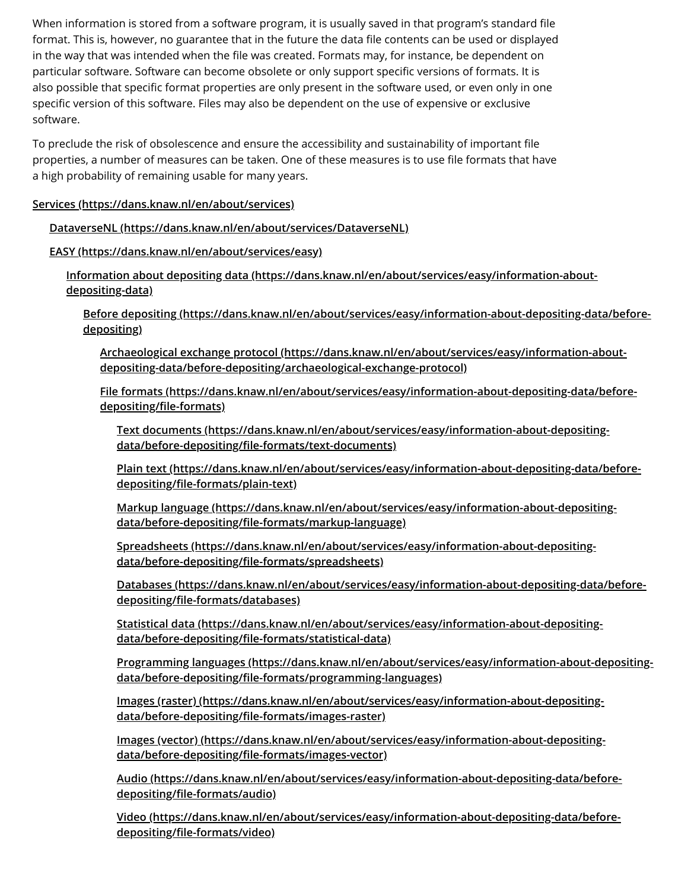When information is stored from a software program, it is usually saved in that program's standard file format. This is, however, no guarantee that in the future the data file contents can be used or displayed in the way that was intended when the file was created. Formats may, for instance, be dependent on particular software. Software can become obsolete or only support specific versions of formats. It is also possible that specific format properties are only present in the software used, or even only in one specific version of this software. Files may also be dependent on the use of expensive or exclusive software.

To preclude the risk of obsolescence and ensure the accessibility and sustainability of important file properties, a number of measures can be taken. One of these measures is to use file formats that have a high probability of remaining usable for many years.

### **Services [\(https://dans.knaw.nl/en/about/services\)](https://dans.knaw.nl/en/about/services)**

# **DataverseNL [\(https://dans.knaw.nl/en/about/services/DataverseNL\)](https://dans.knaw.nl/en/about/services/DataverseNL)**

# **EASY [\(https://dans.knaw.nl/en/about/services/easy\)](https://dans.knaw.nl/en/about/services/easy)**

**Information about depositing data [\(https://dans.knaw.nl/en/about/services/easy/information-about](https://dans.knaw.nl/en/about/services/easy/information-about-depositing-data)depositing-data)**

**Before depositing [\(https://dans.knaw.nl/en/about/services/easy/information-about-depositing-data/before](https://dans.knaw.nl/en/about/services/easy/information-about-depositing-data/before-depositing)depositing)**

**Archaeological exchange protocol (https://dans.knaw.nl/en/about/services/easy/information-about[depositing-data/before-depositing/archaeological-exchange-protocol\)](https://dans.knaw.nl/en/about/services/easy/information-about-depositing-data/before-depositing/archaeological-exchange-protocol)**

**File formats [\(https://dans.knaw.nl/en/about/services/easy/information-about-depositing-data/before](https://dans.knaw.nl/en/about/services/easy/information-about-depositing-data/before-depositing/file-formats)**depositing/file-formats)

**Text documents [\(https://dans.knaw.nl/en/about/services/easy/information-about-depositing](https://dans.knaw.nl/en/about/services/easy/information-about-depositing-data/before-depositing/file-formats/text-documents)**data/before-depositing/file-formats/text-documents)

**Plain text [\(https://dans.knaw.nl/en/about/services/easy/information-about-depositing-data/before](https://dans.knaw.nl/en/about/services/easy/information-about-depositing-data/before-depositing/file-formats/plain-text)depositing/le-formats/plain-text)**

**Markup language [\(https://dans.knaw.nl/en/about/services/easy/information-about-depositing](https://dans.knaw.nl/en/about/services/easy/information-about-depositing-data/before-depositing/file-formats/markup-language)**data/before-depositing/file-formats/markup-language)

**Spreadsheets [\(https://dans.knaw.nl/en/about/services/easy/information-about-depositing](https://dans.knaw.nl/en/about/services/easy/information-about-depositing-data/before-depositing/file-formats/spreadsheets)**data/before-depositing/file-formats/spreadsheets)

**Databases [\(https://dans.knaw.nl/en/about/services/easy/information-about-depositing-data/before](https://dans.knaw.nl/en/about/services/easy/information-about-depositing-data/before-depositing/file-formats/databases)depositing/le-formats/databases)**

**Statistical data [\(https://dans.knaw.nl/en/about/services/easy/information-about-depositing](https://dans.knaw.nl/en/about/services/easy/information-about-depositing-data/before-depositing/file-formats/statistical-data)**data/before-depositing/file-formats/statistical-data)

**Programming languages [\(https://dans.knaw.nl/en/about/services/easy/information-about-depositing](https://dans.knaw.nl/en/about/services/easy/information-about-depositing-data/before-depositing/file-formats/programming-languages)data/before-depositing/le-formats/programming-languages)**

**Images (raster) [\(https://dans.knaw.nl/en/about/services/easy/information-about-depositing](https://dans.knaw.nl/en/about/services/easy/information-about-depositing-data/before-depositing/file-formats/images-raster)**data/before-depositing/file-formats/images-raster)

**Images (vector) [\(https://dans.knaw.nl/en/about/services/easy/information-about-depositing](https://dans.knaw.nl/en/about/services/easy/information-about-depositing-data/before-depositing/file-formats/images-vector)**data/before-depositing/file-formats/images-vector)

**Audio [\(https://dans.knaw.nl/en/about/services/easy/information-about-depositing-data/before](https://dans.knaw.nl/en/about/services/easy/information-about-depositing-data/before-depositing/file-formats/audio)depositing/le-formats/audio)**

**Video [\(https://dans.knaw.nl/en/about/services/easy/information-about-depositing-data/before](https://dans.knaw.nl/en/about/services/easy/information-about-depositing-data/before-depositing/file-formats/video)**depositing/file-formats/video)